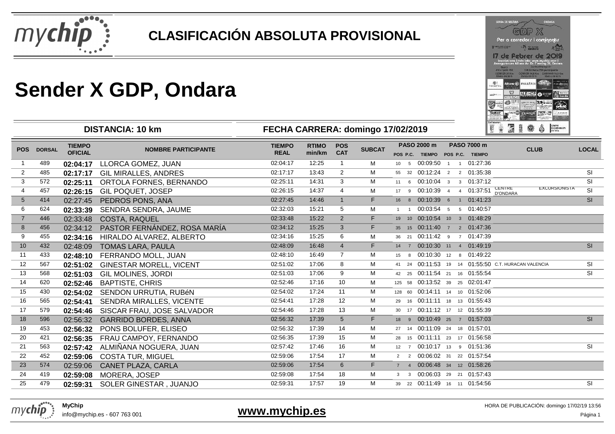

**DISTANCIA: 10 km**

|                                     |                                       | GDP X                                                                                        |                                                           |                     |
|-------------------------------------|---------------------------------------|----------------------------------------------------------------------------------------------|-----------------------------------------------------------|---------------------|
|                                     |                                       | Per a corredors i caminants                                                                  |                                                           |                     |
| <b>THE R. P. LEWIS CO., LANSING</b> |                                       | <b>We address</b><br>ondara                                                                  |                                                           |                     |
|                                     |                                       | 7 de Febrer de 20                                                                            |                                                           |                     |
|                                     |                                       | inscripcions imés info: www.mychip.com i<br>Assegurances Alliant Av. Dr. Fieming 36, Onciera |                                                           |                     |
|                                     | <b>Guard</b><br><b>STEPHANO THE</b>   |                                                                                              | <b>Curra directoria</b><br>124 De Italia 230 participante |                     |
|                                     | COBRETE 25 Rm<br><b>Chara anchore</b> | CONTROL 4.5 Km CAWINAR 14.5 Km<br>Dafabr 09:10 W                                             | <b>STATUS DRIVER</b>                                      |                     |
|                                     |                                       | Allianz Gib #414ARIA                                                                         |                                                           | P. Milled Streets   |
| FAGUAGE SLK.                        |                                       |                                                                                              |                                                           |                     |
|                                     | <b>LATASTIC</b>                       |                                                                                              |                                                           | معقاء<br>ostos ir   |
|                                     |                                       |                                                                                              |                                                           |                     |
| ÷                                   | <b>COLOR FORESTS</b>                  |                                                                                              |                                                           |                     |
| TECNIAT                             | ucual                                 |                                                                                              |                                                           | <b>BC WEIGHT AN</b> |
|                                     |                                       |                                                                                              |                                                           |                     |

|                 |               |                                 | וווח טו. הוטוחותו טוש          | I LUIA UANNLINA. GUIIIIIGU TIIUZIZUTU |                        |                          |               |              |                                                | <b>I THE MET THE COMPANY OF BEAMS</b> |  |                                |                                                     |                      |                          |
|-----------------|---------------|---------------------------------|--------------------------------|---------------------------------------|------------------------|--------------------------|---------------|--------------|------------------------------------------------|---------------------------------------|--|--------------------------------|-----------------------------------------------------|----------------------|--------------------------|
| <b>POS</b>      | <b>DORSAL</b> | <b>TIEMPO</b><br><b>OFICIAL</b> | <b>NOMBRE PARTICIPANTE</b>     | <b>TIEMPO</b><br><b>REAL</b>          | <b>RTIMO</b><br>min/km | <b>POS</b><br><b>CAT</b> | <b>SUBCAT</b> |              | PASO 2000 m<br>POS P.C. TIEMPO POS P.C. TIEMPO |                                       |  | <b>PASO 7000 m</b>             | <b>CLUB</b>                                         |                      | <b>LOCAL</b>             |
| 1               | 489           | 02:04:17                        | LLORCA GOMEZ, JUAN             | 02:04:17                              | 12:25                  | $\mathbf{1}$             | м             |              |                                                |                                       |  | 10 5 00:09:50 1 1 01:27:36     |                                                     |                      |                          |
| 2               | 485           | 02:17:17                        | <b>GIL MIRALLES, ANDRES</b>    | 02:17:17                              | 13:43                  | $\overline{2}$           | М             |              | 55 32 00:12:24 2 2 01:35:38                    |                                       |  |                                |                                                     |                      | SI                       |
| 3               | 572           | 02:25:11                        | ORTOLA FORNES, BERNANDO        | 02:25:11                              | 14:31                  | 3                        | M             |              |                                                |                                       |  | 11 6 00:10:04 3 3 01:37:12     |                                                     |                      | <b>SI</b>                |
| 4               | 457           | 02:26:15                        | GIL POQUET, JOSEP              | 02:26:15                              | 14:37                  | $\overline{4}$           | М             |              | 17 9 00:10:39 4 4 01:37:51                     |                                       |  |                                | <b>CENTRE</b><br><b>D'ONDARA</b>                    | <b>EXCURSIONISTA</b> | <b>SI</b>                |
| $5\phantom{.0}$ | 414           | 02:27:45                        | PEDROS PONS, ANA               | 02:27:45                              | 14:46                  | 1                        | F.            |              | 16 8 00:10:39 6 1 01:41:23                     |                                       |  |                                |                                                     |                      | SI                       |
| 6               | 624           | 02:33:39                        | SENDRA SENDRA, JAUME           | 02:32:03                              | 15:21                  | 5                        | М             | $1 \quad 1$  | 00:03:54 5 5 01:40:57                          |                                       |  |                                |                                                     |                      |                          |
| $\overline{7}$  | 446           | 02:33:48                        | COSTA, RAQUEL                  | 02:33:48                              | 15:22                  | $\overline{2}$           | F.            |              | 19 10 00:10:54 10 3 01:48:29                   |                                       |  |                                |                                                     |                      |                          |
| 8               | 456           | 02:34:12                        | PASTOR FERNÁNDEZ, ROSA MARÍA   | 02:34:12                              | 15:25                  | 3                        | F.            |              | 35 15 00:11:40 7 2 01:47:36                    |                                       |  |                                |                                                     |                      |                          |
| 9               | 455           | 02:34:16                        | HIRALDO ALVAREZ, ALBERTO       | 02:34:16                              | 15:25                  | 6                        | м             |              | 36 21 00:11:42 9 7 01:47:39                    |                                       |  |                                |                                                     |                      |                          |
| 10              | 432           | 02:48:09                        | <b>TOMAS LARA, PAULA</b>       | 02:48:09                              | 16:48                  | $\overline{4}$           | F.            |              | 14 7 00:10:30 11 4 01:49:19                    |                                       |  |                                |                                                     |                      | SI                       |
| 11              | 433           | 02:48:10                        | FERRANDO MOLL, JUAN            | 02:48:10                              | 16:49                  | $\overline{7}$           | M             |              | 15 8 00:10:30 12 8 01:49:22                    |                                       |  |                                |                                                     |                      |                          |
| 12              | 567           | 02:51:02                        | <b>GINESTAR MORELL, VICENT</b> | 02:51:02                              | 17:06                  | 8                        | М             |              |                                                |                                       |  |                                | 41 24 00:11:53 19 14 01:55:50 C.T. HURACAN VALENCIA |                      | <b>SI</b>                |
| 13              | 568           | 02:51:03                        | <b>GIL MOLINES, JORDI</b>      | 02:51:03                              | 17:06                  | 9                        | M             |              |                                                |                                       |  | 42 25 00:11:54 21 16 01:55:54  |                                                     |                      | SI                       |
| 14              | 620           | 02:52:46                        | <b>BAPTISTE, CHRIS</b>         | 02:52:46                              | 17:16                  | 10                       | м             |              |                                                |                                       |  | 125 58 00:13:52 39 25 02:01:47 |                                                     |                      |                          |
| 15              | 430           | 02:54:02                        | SENDON URRUTIA, RUBÉN          | 02:54:02                              | 17:24                  | 11                       | М             |              | 128 60 00:14:11 14 10 01:52:06                 |                                       |  |                                |                                                     |                      |                          |
| 16              | 565           | 02:54:41                        | SENDRA MIRALLES, VICENTE       | 02:54:41                              | 17:28                  | 12                       | M             |              |                                                |                                       |  | 29 16 00:11:11 18 13 01:55:43  |                                                     |                      |                          |
| 17              | 579           | 02:54:46                        | SISCAR FRAU, JOSE SALVADOR     | 02:54:46                              | 17:28                  | 13                       | М             |              | 30 17 00:11:12 17 12 01:55:39                  |                                       |  |                                |                                                     |                      |                          |
| 18              | 596           | 02:56:32                        | <b>GARRIDO BORDES, ANNA</b>    | 02:56:32                              | 17:39                  | 5 <sup>5</sup>           | F.            |              | 18 9 00:10:49 25 7 01:57:03                    |                                       |  |                                |                                                     |                      | SI                       |
| 19              | 453           | 02:56:32                        | PONS BOLUFER, ELISEO           | 02:56:32                              | 17:39                  | 14                       | M             |              | 27 14 00:11:09 24 18 01:57:01                  |                                       |  |                                |                                                     |                      |                          |
| 20              | 421           | 02:56:35                        | FRAU CAMPOY, FERNANDO          | 02:56:35                              | 17:39                  | 15                       | М             |              |                                                |                                       |  | 28 15 00:11:11 23 17 01:56:58  |                                                     |                      |                          |
| 21              | 563           | 02:57:42                        | ALMIÑANA NOGUERA, JUAN         | 02:57:42                              | 17:46                  | 16                       | M             | $12 \quad 7$ |                                                |                                       |  | 00:10:17 13 9 01:51:36         |                                                     |                      | $\overline{\mathsf{SI}}$ |
| 22              | 452           | 02:59:06                        | <b>COSTA TUR, MIGUEL</b>       | 02:59:06                              | 17:54                  | 17                       | М             |              | 2 2 00:06:02 31 22 01:57:54                    |                                       |  |                                |                                                     |                      |                          |
| 23              | 574           | 02:59:06                        | CANET PLAZA, CARLA             | 02:59:06                              | 17:54                  | 6                        | F.            |              | 7 4 00:06:48 34 12 01:58:26                    |                                       |  |                                |                                                     |                      |                          |
| 24              | 419           | 02:59:08                        | MORERA, JOSEP                  | 02:59:08                              | 17:54                  | 18                       | M             | $3^{\circ}$  |                                                |                                       |  | 3 00:06:03 29 21 01:57:43      |                                                     |                      |                          |
| 25              | 479           | 02:59:31                        | SOLER GINESTAR, JUANJO         | 02:59:31                              | 17:57                  | 19                       | M             |              | 39 22 00:11:49 16 11 01:54:56                  |                                       |  |                                |                                                     |                      | SI                       |
|                 |               |                                 |                                |                                       |                        |                          |               |              |                                                |                                       |  |                                |                                                     |                      |                          |

**FECHA CARRERA: domingo 17/02/2019**



info@mychip.es - 607 763 001

**www.mychip.es**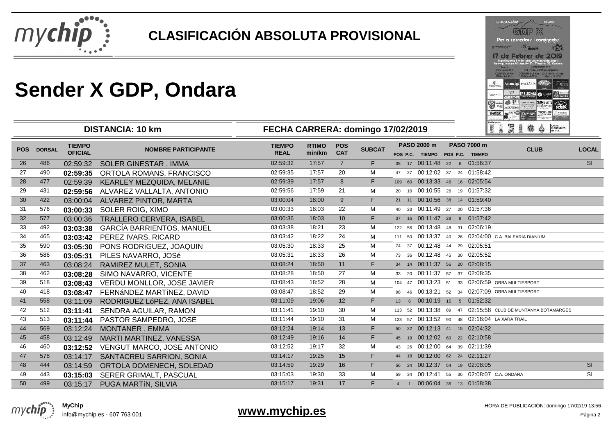

**DISTANCIA: 10 km**

|                       |                                                                           | 引回 》                                                                                                         |                                                                                                              |      |
|-----------------------|---------------------------------------------------------------------------|--------------------------------------------------------------------------------------------------------------|--------------------------------------------------------------------------------------------------------------|------|
|                       |                                                                           | Per a corredors i caminants                                                                                  |                                                                                                              |      |
| <b>Network Island</b> |                                                                           | ondara                                                                                                       |                                                                                                              |      |
|                       | <b>Guard</b><br><b>BIFEFICKS ISE</b><br>COBRER 26 Km<br>United Bill 30 ft | inscripcions i més info: www.mychip.com i<br>Assegurances Allianz Av Dr. Fleming 36, Oncara<br>Dalub 09:10 W | Durin d'Incilpolé-<br>124 Inches 230 particularly<br>CRECK (4.5 Km CAWINAR 14.5 Km<br><b>Status parading</b> |      |
|                       |                                                                           |                                                                                                              |                                                                                                              |      |
| FAGUAGE SLK.          |                                                                           | Altiano (ii) #414ARIA                                                                                        |                                                                                                              |      |
| <b>CONTRACTOR</b>     | <b>STADSED</b>                                                            |                                                                                                              | 63608<br>z                                                                                                   | سمعك |
| m                     | FR.L.W. FLOOR RESID                                                       | <b>DAVIS II</b>                                                                                              |                                                                                                              |      |

| <b>POS</b> | <b>DORSAL</b> | <b>TIEMPO</b><br><b>OFICIAL</b> | <b>NOMBRE PARTICIPANTE</b>        | <b>TIEMPO</b><br><b>REAL</b> | <b>RTIMO</b><br>min/km | <b>POS</b><br><b>CAT</b> | <b>SUBCAT</b> | PASO 2000 m | PASO 7000 m<br>POS P.C. TIEMPO POS P.C. TIEMPO  | <b>CLUB</b>                                                | <b>LOCAL</b> |
|------------|---------------|---------------------------------|-----------------------------------|------------------------------|------------------------|--------------------------|---------------|-------------|-------------------------------------------------|------------------------------------------------------------|--------------|
| 26         | 486           | 02:59:32                        | <b>SOLER GINESTAR, IMMA</b>       | 02:59:32                     | 17:57                  | $\overline{7}$           | F.            |             | 38 17 00:11:48 22 6 01:56:37                    |                                                            | SI           |
| 27         | 490           | 02:59:35                        | ORTOLA ROMANS, FRANCISCO          | 02:59:35                     | 17:57                  | 20                       | м             |             | 47 27 00:12:02 37 24 01:58:42                   |                                                            |              |
| 28         | 477           | 02:59:39                        | KEARLEY MEZQUIDA, MELANIE         | 02:59:39                     | 17:57                  | 8                        | F.            |             | 109 60 00:13:33 46 16 02:05:54                  |                                                            |              |
| 29         | 431           | 02:59:56                        | ALVAREZ VALLALTA, ANTONIO         | 02:59:56                     | 17:59                  | 21                       | м             |             | 20 10 00:10:55 26 19 01:57:32                   |                                                            |              |
| 30         | 422           | 03:00:04                        | ALVAREZ PINTOR, MARTA             | 03:00:04                     | 18:00                  | 9                        | F.            |             | 21 11 00:10:56 38 14 01:59:40                   |                                                            |              |
| 31         | 576           | 03:00:33                        | SOLER ROIG, XIMO                  | 03:00:33                     | 18:03                  | 22                       | М             |             | 40 23 00:11:49 27 20 01:57:36                   |                                                            |              |
| 32         | 577           | 03:00:36                        | TRALLERO CERVERA, ISABEL          | 03:00:36                     | 18:03                  | 10 <sup>1</sup>          | F.            |             | 37 16 00:11:47 28 8 01:57:42                    |                                                            |              |
| 33         | 492           | 03:03:38                        | <b>GARCÍA BARRIENTOS, MANUEL</b>  | 03:03:38                     | 18:21                  | 23                       | М             |             | 122 56 00:13:48 48 31 02:06:19                  |                                                            |              |
| 34         | 465           | 03:03:42                        | PEREZ IVARS, RICARD               | 03:03:42                     | 18:22                  | 24                       | М             |             |                                                 | 111 50 00:13:37 40 26 02:04:00 C.A. BALEARIA DIANIUM       |              |
| 35         | 590           | 03:05:30                        | PONS RODRÍGUEZ, JOAQUIN           | 03:05:30                     | 18:33                  | 25                       | M             |             | 74 37 00:12:48 44 29 02:05:51                   |                                                            |              |
| 36         | 586           | 03:05:31                        | PILES NAVARRO, JOSé               | 03:05:31                     | 18:33                  | 26                       | М             |             | 73 36 00:12:48 45 30 02:05:52                   |                                                            |              |
| 37         | 463           | 03:08:24                        | <b>RAMIREZ MULET, SONIA</b>       | 03:08:24                     | 18:50                  | 11                       | F.            |             | 34 14 00:11:37 56 20 02:08:15                   |                                                            |              |
| 38         | 462           | 03:08:28                        | SIMO NAVARRO, VICENTE             | 03:08:28                     | 18:50                  | 27                       | M             |             | 33 20 00:11:37 57 37 02:08:35                   |                                                            |              |
| 39         | 518           | 03:08:43                        | VERDU MONLLOR, JOSE JAVIER        | 03:08:43                     | 18:52                  | 28                       | М             |             | 104 47 00:13:23 51 33 02:06:59 ORBA MULTIESPORT |                                                            |              |
| 40         | 418           | 03:08:47                        | FERNÁNDEZ MARTÍNEZ, DAVID         | 03:08:47                     | 18:52                  | 29                       | м             |             | 98 46 00:13:21 52 34 02:07:09 ORBA MULTIESPORT  |                                                            |              |
| 41         | 558           | 03:11:09                        | RODRIGUEZ LóPEZ, ANA ISABEL       | 03:11:09                     | 19:06                  | 12                       | F.            |             | 13 6 00:10:19 15 5 01:52:32                     |                                                            |              |
| 42         | 512           | 03:11:41                        | SENDRA AGUILAR, RAMON             | 03:11:41                     | 19:10                  | 30                       | M             |             |                                                 | 113 52 00:13:38 89 47 02:15:58 CLUB DE MUNTANYA BOTAMARGES |              |
| 43         | 513           | 03:11:44                        | PASTOR SAMPEDRO, JOSE             | 03:11:44                     | 19:10                  | 31                       | M             |             | 123 57 00:13:52 90 48 02:16:04 LA XARA TRAIL    |                                                            |              |
| 44         | 569           | 03:12:24                        | <b>MONTANER, EMMA</b>             | 03:12:24                     | 19:14                  | 13                       | F.            |             | 50 22 00:12:13 41 15 02:04:32                   |                                                            |              |
| 45         | 458           | 03:12:49                        | MARTI MARTINEZ, VANESSA           | 03:12:49                     | 19:16                  | 14                       | F.            |             | 45 19 00:12:02 60 22 02:10:58                   |                                                            |              |
| 46         | 460           | 03:12:52                        | <b>VENGUT MARCO, JOSE ANTONIO</b> | 03:12:52                     | 19:17                  | 32                       | м             |             | 43 26 00:12:00 64 39 02:11:39                   |                                                            |              |
| 47         | 578           | 03:14:17                        | SANTACREU SARRION, SONIA          | 03:14:17                     | 19:25                  | 15                       | F.            |             | 44 18 00:12:00 62 24 02:11:27                   |                                                            |              |
| 48         | 444           | 03:14:59                        | ORTOLA DOMENECH, SOLEDAD          | 03:14:59                     | 19:29                  | 16                       | F.            |             | 56 24 00:12:37 54 19 02:08:05                   |                                                            | SI           |
| 49         | 443           | 03:15:03                        | SERER GRIMALT, PASCUAL            | 03:15:03                     | 19:30                  | 33                       | М             |             | 59 34 00:12:41 55 36 02:08:07 C.A. ONDARA       |                                                            | <b>SI</b>    |
| 50         | 499           | 03:15:17                        | PUGA MARTÍN, SILVIA               | 03:15:17                     | 19:31                  | 17                       | F.            | $4 \quad 1$ | 00:06:04 36 13 01:58:38                         |                                                            |              |
|            |               |                                 |                                   |                              |                        |                          |               |             |                                                 |                                                            |              |

**FECHA CARRERA: domingo 17/02/2019**



info@mychip.es - 607 763 001

#### **www.mychip.es**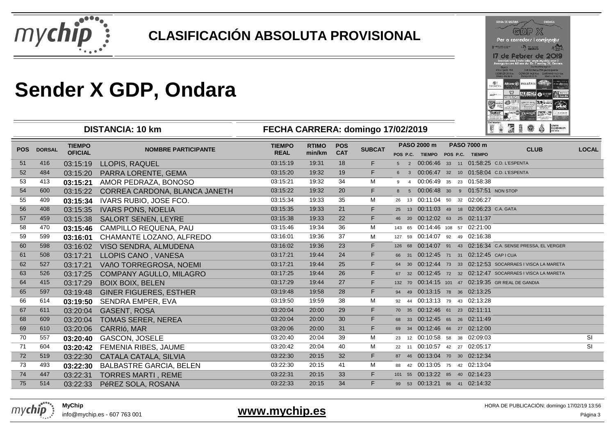

**DISTANCIA: 10 km**

|                        |                                                       | Per a corredors i caminants                                                                 |                                                                               |                 |
|------------------------|-------------------------------------------------------|---------------------------------------------------------------------------------------------|-------------------------------------------------------------------------------|-----------------|
| <b>Lee bump in Fax</b> |                                                       | ها<br><b>Services</b><br>ondara                                                             |                                                                               |                 |
|                        | <b>Dunner</b><br><b>BREVENIA INE</b>                  | Inscripcions Imés Info: www.mychip.com I<br>Assegurances Allianz Av. Dr. Fieming 36, Onders | <b>Curra directoria</b><br>124 method is 230 particularities                  |                 |
|                        | COBRER 26 Km<br><b>Chairs and lo h</b><br>Altianz (6) | Distribution (10) Personal<br><b>FALLARIA</b>                                               | CRESS (4.5 Km EAWIKAS 14.5 Km)<br><b>Status parading</b><br><b>ANTICOLOGY</b> | <b>ANTIQUES</b> |
| FAGINWESTA.            |                                                       |                                                                                             |                                                                               |                 |
| <b>ASSESSED</b>        | Ara San                                               |                                                                                             | 23 65508                                                                      | سنعد<br>Ganda   |
| <b>CALL BOAT</b><br>≂≂ | <b>COLOR FINDERS</b>                                  |                                                                                             | <b>W 141</b>                                                                  |                 |

#### **FECHA CARRERA: domingo 17/02/2019**

| POS P.C. TIEMPO<br>POS P.C. TIEMPO<br>18<br>F.<br>03:15:19<br>19:31<br>5 2 00:06:46 33 11 01:58:25 C.D. L'ESPENTA<br>51<br>416<br>03:15:19<br><b>LLOPIS, RAQUEL</b><br>F.<br>03:15:20<br>19<br>6 3 00:06:47 32 10 01:58:04 C.D. L'ESPENTA<br>52<br>484<br>PARRA LORENTE, GEMA<br>19:32<br>03:15:20<br>M<br>34<br>00:06:49 35 23 01:58:38<br>53<br>413<br>AMOR PEDRAZA, BONOSO<br>03:15:21<br>19:32<br>03:15:21<br>$9 \t4$<br>F.<br>20<br>03:15:22<br>19:32<br>8 5 00:06:48 30 9 01:57:51 NON STOP<br>54<br>600<br>CORREA CARDONA, BLANCA JANETH<br>03:15:22<br>35<br>M<br>26 13 00:11:04 50 32 02:06:27<br>55<br>03:15:34<br>19:33<br>409<br>IVARS RUBIO, JOSE FCO.<br>03:15:34<br>21<br>25 13 00:11:03 49 18 02:06:23 C.A. GATA<br>56<br>03:15:35<br>19:33<br>F.<br>408<br>03:15:35<br><b>IVARS PONS, NOELIA</b><br>F.<br>19:33<br>22<br>46 20 00:12:02 63 25 02:11:37<br>57<br>459<br><b>SALORT SENEN, LEYRE</b><br>03:15:38<br>03:15:38<br>36<br>03:15:46<br>19:34<br>58<br>470<br>M<br>143 65 00:14:46 108 57 02:21:00<br><b>CAMPILLO REQUENA, PAU</b><br>03:15:46<br>37<br>127 59 00:14:07 92 49 02:16:38<br>59<br>03:16:01<br>19:36<br>599<br>CHAMANTE LOZANO, ALFREDO<br>м<br>03:16:01<br>23<br>126 68 00:14:07 91 43 02:16:34 C.A. SENSE PRESSA, EL VERGER<br>60<br>598<br>03:16:02<br>19:36<br>F.<br>03:16:02<br>VISO SENDRA, ALMUDENA<br>F.<br>24<br>03:17:21<br>19:44<br>66 31 00:12:45 71 31 02:12:45 CAPICUA<br>61<br>508<br>LLOPIS CANO, VANESA<br>03:17:21<br>25<br>F.<br>03:17:21<br>19:44<br>64 30 00:12:44 73 33 02:12:53 SOCARRAES I VISCA LA MARETA<br>62<br>527<br>03:17:21<br>VAñO TORREGROSA, NOEMI<br>F.<br>26<br>03:17:25<br>19:44<br>67 32 00:12:45 72 32 02:12:47 SOCARRAES I VISCA LA MARETA<br>63<br>526<br>03:17:25<br><b>COMPANY AGULLO, MILAGRO</b><br>27<br>F.<br>19:44<br>132 70 00:14:15 101 47 02:19:35 GR REAL DE GANDIA<br>64<br>03:17:29<br><b>BOIX BOIX, BELEN</b><br>03:17:29<br>415<br>F.<br>28<br>94 49 00:13:15 78 36 02:13:25<br>19:58<br>65<br>597<br>03:19:48<br>03:19:48<br><b>GINER FIGUERES, ESTHER</b><br>M<br>38<br>92 44 00:13:13 79 43 02:13:28<br>03:19:50<br>19:59<br>66<br>614<br>SENDRA EMPER, EVA<br>03:19:50<br>F.<br>29<br>03:20:04<br>20:00<br>70 35 00:12:46 61 23 02:11:11<br>67<br>611<br>03:20:04<br><b>GASENT, ROSA</b><br>F.<br>30<br>03:20:04<br>20:00<br>68 33 00:12:45 65 26 02:11:49<br>68<br>609<br>03:20:04<br>TOMAS SERER, NEREA<br>F.<br>31<br>03:20:06<br>20:00<br>69 34 00:12:46 66 27 02:12:00<br>69<br>610<br>03:20:06<br>CARRIó, MAR<br>SI<br>39<br>70<br>03:20:40<br>20:04<br>M<br>23 12 00:10:58 58 38 02:09:03<br>557<br>GASCON, JOSELE<br>03:20:40<br>SI<br>71<br>40<br>М<br>22 11 00:10:57 42 27 02:05:17<br>604<br>03:20:42<br>20:04<br><b>FEMENIA RIBES, JAUME</b><br>03:20:42<br>F.<br>32<br>87 46 00:13:04 70 30 02:12:34<br>72<br>519<br>CATALA CATALA, SILVIA<br>03:22:30<br>20:15<br>03:22:30<br>41<br>03:22:30<br>88 42 00:13:05 75 42 02:13:04<br>73<br>493<br>20:15<br>M<br><b>BALBASTRE GARCIA, BELEN</b><br>03:22:30<br>F.<br>33<br>74<br>03:22:31<br>20:15<br>101 55 00:13:22 85 40 02:14:23<br>447<br><b>TORRES MARTI, REME</b><br>03:22:31<br>F.<br>34<br>99 53 00:13:21 86 41 02:14:32<br>75<br>514<br>03:22:33<br>PéREZ SOLA, ROSANA<br>03:22:33<br>20:15 | POS DORSAL | <b>TIEMPO</b>  | <b>NOMBRE PARTICIPANTE</b> | <b>TIEMPO</b> | <b>RTIMO</b> | <b>POS</b> | <b>SUBCAT</b> | PASO 2000 m | <b>PASO 7000 m</b> | <b>CLUB</b> | <b>LOCAL</b> |
|------------------------------------------------------------------------------------------------------------------------------------------------------------------------------------------------------------------------------------------------------------------------------------------------------------------------------------------------------------------------------------------------------------------------------------------------------------------------------------------------------------------------------------------------------------------------------------------------------------------------------------------------------------------------------------------------------------------------------------------------------------------------------------------------------------------------------------------------------------------------------------------------------------------------------------------------------------------------------------------------------------------------------------------------------------------------------------------------------------------------------------------------------------------------------------------------------------------------------------------------------------------------------------------------------------------------------------------------------------------------------------------------------------------------------------------------------------------------------------------------------------------------------------------------------------------------------------------------------------------------------------------------------------------------------------------------------------------------------------------------------------------------------------------------------------------------------------------------------------------------------------------------------------------------------------------------------------------------------------------------------------------------------------------------------------------------------------------------------------------------------------------------------------------------------------------------------------------------------------------------------------------------------------------------------------------------------------------------------------------------------------------------------------------------------------------------------------------------------------------------------------------------------------------------------------------------------------------------------------------------------------------------------------------------------------------------------------------------------------------------------------------------------------------------------------------------------------------------------------------------------------------------------------------------------------------------------------------------------------------------------------------------------------------------------------------------------------------------------------------------------------------------------------------------------------------------------------------------------------------------------------------|------------|----------------|----------------------------|---------------|--------------|------------|---------------|-------------|--------------------|-------------|--------------|
|                                                                                                                                                                                                                                                                                                                                                                                                                                                                                                                                                                                                                                                                                                                                                                                                                                                                                                                                                                                                                                                                                                                                                                                                                                                                                                                                                                                                                                                                                                                                                                                                                                                                                                                                                                                                                                                                                                                                                                                                                                                                                                                                                                                                                                                                                                                                                                                                                                                                                                                                                                                                                                                                                                                                                                                                                                                                                                                                                                                                                                                                                                                                                                                                                                                                  |            | <b>OFICIAL</b> |                            | <b>REAL</b>   | min/km       | <b>CAT</b> |               |             |                    |             |              |
|                                                                                                                                                                                                                                                                                                                                                                                                                                                                                                                                                                                                                                                                                                                                                                                                                                                                                                                                                                                                                                                                                                                                                                                                                                                                                                                                                                                                                                                                                                                                                                                                                                                                                                                                                                                                                                                                                                                                                                                                                                                                                                                                                                                                                                                                                                                                                                                                                                                                                                                                                                                                                                                                                                                                                                                                                                                                                                                                                                                                                                                                                                                                                                                                                                                                  |            |                |                            |               |              |            |               |             |                    |             |              |
|                                                                                                                                                                                                                                                                                                                                                                                                                                                                                                                                                                                                                                                                                                                                                                                                                                                                                                                                                                                                                                                                                                                                                                                                                                                                                                                                                                                                                                                                                                                                                                                                                                                                                                                                                                                                                                                                                                                                                                                                                                                                                                                                                                                                                                                                                                                                                                                                                                                                                                                                                                                                                                                                                                                                                                                                                                                                                                                                                                                                                                                                                                                                                                                                                                                                  |            |                |                            |               |              |            |               |             |                    |             |              |
|                                                                                                                                                                                                                                                                                                                                                                                                                                                                                                                                                                                                                                                                                                                                                                                                                                                                                                                                                                                                                                                                                                                                                                                                                                                                                                                                                                                                                                                                                                                                                                                                                                                                                                                                                                                                                                                                                                                                                                                                                                                                                                                                                                                                                                                                                                                                                                                                                                                                                                                                                                                                                                                                                                                                                                                                                                                                                                                                                                                                                                                                                                                                                                                                                                                                  |            |                |                            |               |              |            |               |             |                    |             |              |
|                                                                                                                                                                                                                                                                                                                                                                                                                                                                                                                                                                                                                                                                                                                                                                                                                                                                                                                                                                                                                                                                                                                                                                                                                                                                                                                                                                                                                                                                                                                                                                                                                                                                                                                                                                                                                                                                                                                                                                                                                                                                                                                                                                                                                                                                                                                                                                                                                                                                                                                                                                                                                                                                                                                                                                                                                                                                                                                                                                                                                                                                                                                                                                                                                                                                  |            |                |                            |               |              |            |               |             |                    |             |              |
|                                                                                                                                                                                                                                                                                                                                                                                                                                                                                                                                                                                                                                                                                                                                                                                                                                                                                                                                                                                                                                                                                                                                                                                                                                                                                                                                                                                                                                                                                                                                                                                                                                                                                                                                                                                                                                                                                                                                                                                                                                                                                                                                                                                                                                                                                                                                                                                                                                                                                                                                                                                                                                                                                                                                                                                                                                                                                                                                                                                                                                                                                                                                                                                                                                                                  |            |                |                            |               |              |            |               |             |                    |             |              |
|                                                                                                                                                                                                                                                                                                                                                                                                                                                                                                                                                                                                                                                                                                                                                                                                                                                                                                                                                                                                                                                                                                                                                                                                                                                                                                                                                                                                                                                                                                                                                                                                                                                                                                                                                                                                                                                                                                                                                                                                                                                                                                                                                                                                                                                                                                                                                                                                                                                                                                                                                                                                                                                                                                                                                                                                                                                                                                                                                                                                                                                                                                                                                                                                                                                                  |            |                |                            |               |              |            |               |             |                    |             |              |
|                                                                                                                                                                                                                                                                                                                                                                                                                                                                                                                                                                                                                                                                                                                                                                                                                                                                                                                                                                                                                                                                                                                                                                                                                                                                                                                                                                                                                                                                                                                                                                                                                                                                                                                                                                                                                                                                                                                                                                                                                                                                                                                                                                                                                                                                                                                                                                                                                                                                                                                                                                                                                                                                                                                                                                                                                                                                                                                                                                                                                                                                                                                                                                                                                                                                  |            |                |                            |               |              |            |               |             |                    |             |              |
|                                                                                                                                                                                                                                                                                                                                                                                                                                                                                                                                                                                                                                                                                                                                                                                                                                                                                                                                                                                                                                                                                                                                                                                                                                                                                                                                                                                                                                                                                                                                                                                                                                                                                                                                                                                                                                                                                                                                                                                                                                                                                                                                                                                                                                                                                                                                                                                                                                                                                                                                                                                                                                                                                                                                                                                                                                                                                                                                                                                                                                                                                                                                                                                                                                                                  |            |                |                            |               |              |            |               |             |                    |             |              |
|                                                                                                                                                                                                                                                                                                                                                                                                                                                                                                                                                                                                                                                                                                                                                                                                                                                                                                                                                                                                                                                                                                                                                                                                                                                                                                                                                                                                                                                                                                                                                                                                                                                                                                                                                                                                                                                                                                                                                                                                                                                                                                                                                                                                                                                                                                                                                                                                                                                                                                                                                                                                                                                                                                                                                                                                                                                                                                                                                                                                                                                                                                                                                                                                                                                                  |            |                |                            |               |              |            |               |             |                    |             |              |
|                                                                                                                                                                                                                                                                                                                                                                                                                                                                                                                                                                                                                                                                                                                                                                                                                                                                                                                                                                                                                                                                                                                                                                                                                                                                                                                                                                                                                                                                                                                                                                                                                                                                                                                                                                                                                                                                                                                                                                                                                                                                                                                                                                                                                                                                                                                                                                                                                                                                                                                                                                                                                                                                                                                                                                                                                                                                                                                                                                                                                                                                                                                                                                                                                                                                  |            |                |                            |               |              |            |               |             |                    |             |              |
|                                                                                                                                                                                                                                                                                                                                                                                                                                                                                                                                                                                                                                                                                                                                                                                                                                                                                                                                                                                                                                                                                                                                                                                                                                                                                                                                                                                                                                                                                                                                                                                                                                                                                                                                                                                                                                                                                                                                                                                                                                                                                                                                                                                                                                                                                                                                                                                                                                                                                                                                                                                                                                                                                                                                                                                                                                                                                                                                                                                                                                                                                                                                                                                                                                                                  |            |                |                            |               |              |            |               |             |                    |             |              |
|                                                                                                                                                                                                                                                                                                                                                                                                                                                                                                                                                                                                                                                                                                                                                                                                                                                                                                                                                                                                                                                                                                                                                                                                                                                                                                                                                                                                                                                                                                                                                                                                                                                                                                                                                                                                                                                                                                                                                                                                                                                                                                                                                                                                                                                                                                                                                                                                                                                                                                                                                                                                                                                                                                                                                                                                                                                                                                                                                                                                                                                                                                                                                                                                                                                                  |            |                |                            |               |              |            |               |             |                    |             |              |
|                                                                                                                                                                                                                                                                                                                                                                                                                                                                                                                                                                                                                                                                                                                                                                                                                                                                                                                                                                                                                                                                                                                                                                                                                                                                                                                                                                                                                                                                                                                                                                                                                                                                                                                                                                                                                                                                                                                                                                                                                                                                                                                                                                                                                                                                                                                                                                                                                                                                                                                                                                                                                                                                                                                                                                                                                                                                                                                                                                                                                                                                                                                                                                                                                                                                  |            |                |                            |               |              |            |               |             |                    |             |              |
|                                                                                                                                                                                                                                                                                                                                                                                                                                                                                                                                                                                                                                                                                                                                                                                                                                                                                                                                                                                                                                                                                                                                                                                                                                                                                                                                                                                                                                                                                                                                                                                                                                                                                                                                                                                                                                                                                                                                                                                                                                                                                                                                                                                                                                                                                                                                                                                                                                                                                                                                                                                                                                                                                                                                                                                                                                                                                                                                                                                                                                                                                                                                                                                                                                                                  |            |                |                            |               |              |            |               |             |                    |             |              |
|                                                                                                                                                                                                                                                                                                                                                                                                                                                                                                                                                                                                                                                                                                                                                                                                                                                                                                                                                                                                                                                                                                                                                                                                                                                                                                                                                                                                                                                                                                                                                                                                                                                                                                                                                                                                                                                                                                                                                                                                                                                                                                                                                                                                                                                                                                                                                                                                                                                                                                                                                                                                                                                                                                                                                                                                                                                                                                                                                                                                                                                                                                                                                                                                                                                                  |            |                |                            |               |              |            |               |             |                    |             |              |
|                                                                                                                                                                                                                                                                                                                                                                                                                                                                                                                                                                                                                                                                                                                                                                                                                                                                                                                                                                                                                                                                                                                                                                                                                                                                                                                                                                                                                                                                                                                                                                                                                                                                                                                                                                                                                                                                                                                                                                                                                                                                                                                                                                                                                                                                                                                                                                                                                                                                                                                                                                                                                                                                                                                                                                                                                                                                                                                                                                                                                                                                                                                                                                                                                                                                  |            |                |                            |               |              |            |               |             |                    |             |              |
|                                                                                                                                                                                                                                                                                                                                                                                                                                                                                                                                                                                                                                                                                                                                                                                                                                                                                                                                                                                                                                                                                                                                                                                                                                                                                                                                                                                                                                                                                                                                                                                                                                                                                                                                                                                                                                                                                                                                                                                                                                                                                                                                                                                                                                                                                                                                                                                                                                                                                                                                                                                                                                                                                                                                                                                                                                                                                                                                                                                                                                                                                                                                                                                                                                                                  |            |                |                            |               |              |            |               |             |                    |             |              |
|                                                                                                                                                                                                                                                                                                                                                                                                                                                                                                                                                                                                                                                                                                                                                                                                                                                                                                                                                                                                                                                                                                                                                                                                                                                                                                                                                                                                                                                                                                                                                                                                                                                                                                                                                                                                                                                                                                                                                                                                                                                                                                                                                                                                                                                                                                                                                                                                                                                                                                                                                                                                                                                                                                                                                                                                                                                                                                                                                                                                                                                                                                                                                                                                                                                                  |            |                |                            |               |              |            |               |             |                    |             |              |
|                                                                                                                                                                                                                                                                                                                                                                                                                                                                                                                                                                                                                                                                                                                                                                                                                                                                                                                                                                                                                                                                                                                                                                                                                                                                                                                                                                                                                                                                                                                                                                                                                                                                                                                                                                                                                                                                                                                                                                                                                                                                                                                                                                                                                                                                                                                                                                                                                                                                                                                                                                                                                                                                                                                                                                                                                                                                                                                                                                                                                                                                                                                                                                                                                                                                  |            |                |                            |               |              |            |               |             |                    |             |              |
|                                                                                                                                                                                                                                                                                                                                                                                                                                                                                                                                                                                                                                                                                                                                                                                                                                                                                                                                                                                                                                                                                                                                                                                                                                                                                                                                                                                                                                                                                                                                                                                                                                                                                                                                                                                                                                                                                                                                                                                                                                                                                                                                                                                                                                                                                                                                                                                                                                                                                                                                                                                                                                                                                                                                                                                                                                                                                                                                                                                                                                                                                                                                                                                                                                                                  |            |                |                            |               |              |            |               |             |                    |             |              |
|                                                                                                                                                                                                                                                                                                                                                                                                                                                                                                                                                                                                                                                                                                                                                                                                                                                                                                                                                                                                                                                                                                                                                                                                                                                                                                                                                                                                                                                                                                                                                                                                                                                                                                                                                                                                                                                                                                                                                                                                                                                                                                                                                                                                                                                                                                                                                                                                                                                                                                                                                                                                                                                                                                                                                                                                                                                                                                                                                                                                                                                                                                                                                                                                                                                                  |            |                |                            |               |              |            |               |             |                    |             |              |
|                                                                                                                                                                                                                                                                                                                                                                                                                                                                                                                                                                                                                                                                                                                                                                                                                                                                                                                                                                                                                                                                                                                                                                                                                                                                                                                                                                                                                                                                                                                                                                                                                                                                                                                                                                                                                                                                                                                                                                                                                                                                                                                                                                                                                                                                                                                                                                                                                                                                                                                                                                                                                                                                                                                                                                                                                                                                                                                                                                                                                                                                                                                                                                                                                                                                  |            |                |                            |               |              |            |               |             |                    |             |              |
|                                                                                                                                                                                                                                                                                                                                                                                                                                                                                                                                                                                                                                                                                                                                                                                                                                                                                                                                                                                                                                                                                                                                                                                                                                                                                                                                                                                                                                                                                                                                                                                                                                                                                                                                                                                                                                                                                                                                                                                                                                                                                                                                                                                                                                                                                                                                                                                                                                                                                                                                                                                                                                                                                                                                                                                                                                                                                                                                                                                                                                                                                                                                                                                                                                                                  |            |                |                            |               |              |            |               |             |                    |             |              |
|                                                                                                                                                                                                                                                                                                                                                                                                                                                                                                                                                                                                                                                                                                                                                                                                                                                                                                                                                                                                                                                                                                                                                                                                                                                                                                                                                                                                                                                                                                                                                                                                                                                                                                                                                                                                                                                                                                                                                                                                                                                                                                                                                                                                                                                                                                                                                                                                                                                                                                                                                                                                                                                                                                                                                                                                                                                                                                                                                                                                                                                                                                                                                                                                                                                                  |            |                |                            |               |              |            |               |             |                    |             |              |
|                                                                                                                                                                                                                                                                                                                                                                                                                                                                                                                                                                                                                                                                                                                                                                                                                                                                                                                                                                                                                                                                                                                                                                                                                                                                                                                                                                                                                                                                                                                                                                                                                                                                                                                                                                                                                                                                                                                                                                                                                                                                                                                                                                                                                                                                                                                                                                                                                                                                                                                                                                                                                                                                                                                                                                                                                                                                                                                                                                                                                                                                                                                                                                                                                                                                  |            |                |                            |               |              |            |               |             |                    |             |              |



info@mychip.es - 607 763 001

#### **www.mychip.es**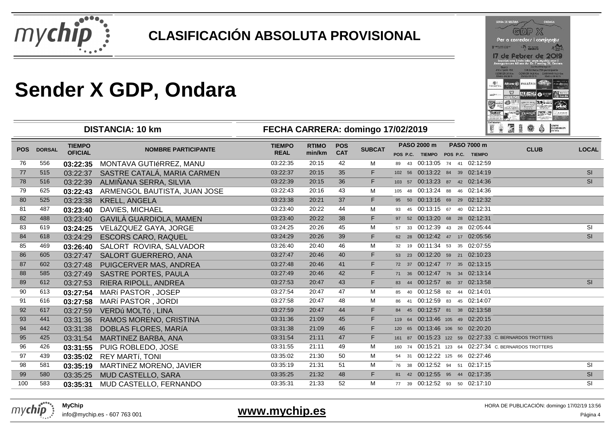

|                                     |                                                                              | 6 日 2 义                      |                                                                                                                   |                   |
|-------------------------------------|------------------------------------------------------------------------------|------------------------------|-------------------------------------------------------------------------------------------------------------------|-------------------|
|                                     |                                                                              | Per a corredors i cominants  |                                                                                                                   |                   |
| <b>THE R. P. LEWIS CO., LANSING</b> |                                                                              | <b>The advised</b><br>ondara |                                                                                                                   |                   |
|                                     |                                                                              | de Febrer de 2               | inscripcions imés info: www.mychip.com i<br>Assegurances Allianz Av. Dr. Fleming 36, Onclass                      |                   |
|                                     | <b>Guard</b><br><b>BELIEVED THE</b><br>COBRER 25 Km<br><b>Chart and lots</b> | Distribution (10) Williams   | <b>Curra directoria</b><br>124 Inches 230 particularly<br>CONTROL LAB Km EAMINABLIAS Km<br><b>Status parading</b> |                   |
| FASHIVAT RIAL                       | Altianz (6)                                                                  | <b>ALEARIA</b>               |                                                                                                                   |                   |
| <b>ANGER 11</b>                     | Arr 513                                                                      |                              | 6560<br>œ.                                                                                                        | معقاء<br>ostos ir |
| B.P.                                | <b>PRIZE OF THIS DESIGN</b>                                                  |                              |                                                                                                                   |                   |

|            | <b>DISTANCIA: 10 km</b> |                                 |                              | FECHA CARRERA: domingo 17/02/2019 |                        |                          |               |       |                                                |  |                                 | 12 南海青绿<br>DEURSIONER<br>۵                            |              |  |
|------------|-------------------------|---------------------------------|------------------------------|-----------------------------------|------------------------|--------------------------|---------------|-------|------------------------------------------------|--|---------------------------------|-------------------------------------------------------|--------------|--|
| <b>POS</b> | <b>DORSAL</b>           | <b>TIEMPO</b><br><b>OFICIAL</b> | <b>NOMBRE PARTICIPANTE</b>   | <b>TIEMPO</b><br><b>REAL</b>      | <b>RTIMO</b><br>min/km | <b>POS</b><br><b>CAT</b> | <b>SUBCAT</b> |       | PASO 2000 m<br>POS P.C. TIEMPO POS P.C. TIEMPO |  | <b>PASO 7000 m</b>              | <b>CLUB</b>                                           | <b>LOCAL</b> |  |
| 76         | 556                     | 03:22:35                        | MONTAVA GUTIéRREZ, MANU      | 03:22:35                          | 20:15                  | 42                       | м             |       |                                                |  | 89 43 00:13:05 74 41 02:12:59   |                                                       |              |  |
| 77         | 515                     | 03:22:37                        | SASTRE CATALÁ, MARIA CARMEN  | 03:22:37                          | 20:15                  | 35                       | F.            |       |                                                |  | 102 56 00:13:22 84 39 02:14:19  |                                                       | SI           |  |
| 78         | 516                     | 03:22:39                        | ALMIÑANA SERRA, SILVIA       | 03:22:39                          | 20:15                  | 36                       | F.            |       |                                                |  | 103 57 00:13:23 87 42 02:14:36  |                                                       | SI           |  |
| 79         | 625                     | 03:22:43                        | ARMENGOL BAUTISTA, JUAN JOSE | 03:22:43                          | 20:16                  | 43                       | м             |       |                                                |  | 105 48 00:13:24 88 46 02:14:36  |                                                       |              |  |
| 80         | 525                     | 03:23:38                        | <b>KRELL, ANGELA</b>         | 03:23:38                          | 20:21                  | 37                       | F.            |       |                                                |  | 95 50 00:13:16 69 29 02:12:32   |                                                       |              |  |
| 81         | 487                     | 03:23:40                        | <b>DAVIES, MICHAEL</b>       | 03:23:40                          | 20:22                  | 44                       | м             |       |                                                |  | 93 45 00:13:15 67 40 02:12:31   |                                                       |              |  |
| 82         | 488                     | 03:23:40                        | GAVILÀ GUARDIOLA, MAMEN      | 03:23:40                          | 20:22                  | 38                       | F.            |       |                                                |  | 97 52 00:13:20 68 28 02:12:31   |                                                       |              |  |
| 83         | 619                     | 03:24:25                        | VELáZQUEZ GAYA, JORGE        | 03:24:25                          | 20:26                  | 45                       | M             |       |                                                |  | 57 33 00:12:39 43 28 02:05:44   |                                                       | <b>SI</b>    |  |
| 84         | 618                     | 03:24:29                        | <b>ESCORS CARO, RAQUEL</b>   | 03:24:29                          | 20:26                  | 39                       | F.            |       |                                                |  | 62 28 00:12:42 47 17 02:05:56   |                                                       | <b>SI</b>    |  |
| 85         | 469                     | 03:26:40                        | SALORT ROVIRA, SALVADOR      | 03:26:40                          | 20:40                  | 46                       | M             |       |                                                |  | 32 19 00:11:34 53 35 02:07:55   |                                                       |              |  |
| 86         | 605                     | 03:27:47                        | <b>SALORT GUERRERO, ANA</b>  | 03:27:47                          | 20:46                  | 40                       | F.            |       |                                                |  | 53 23 00:12:20 59 21 02:10:23   |                                                       |              |  |
| 87         | 602                     | 03:27:48                        | PUIGCERVER MAS, ANDREA       | 03:27:48                          | 20:46                  | 41                       | F.            |       |                                                |  | 72 37 00:12:47 77 35 02:13:15   |                                                       |              |  |
| 88         | 585                     | 03:27:49                        | <b>SASTRE PORTES, PAULA</b>  | 03:27:49                          | 20:46                  | 42                       | F.            |       |                                                |  | 71 36 00:12:47 76 34 02:13:14   |                                                       |              |  |
| 89         | 612                     | 03:27:53                        | RIERA RIPOLL, ANDREA         | 03:27:53                          | 20:47                  | 43                       | F.            | 83 44 |                                                |  | 00:12:57 80 37 02:13:58         |                                                       | SI           |  |
| 90         | 613                     | 03:27:54                        | MARÍ PASTOR, JOSEP           | 03:27:54                          | 20:47                  | 47                       | M             |       |                                                |  | 85 40 00:12:58 82 44 02:14:01   |                                                       |              |  |
| 91         | 616                     | 03:27:58                        | MARÍ PASTOR, JORDI           | 03:27:58                          | 20:47                  | 48                       | м             |       |                                                |  | 86 41 00:12:59 83 45 02:14:07   |                                                       |              |  |
| 92         | 617                     | 03:27:59                        | VERDú MOLTó, LINA            | 03:27:59                          | 20:47                  | 44                       | F.            |       |                                                |  | 84 45 00:12:57 81 38 02:13:58   |                                                       |              |  |
| 93         | 441                     | 03:31:36                        | RAMOS MORENO, CRISTINA       | 03:31:36                          | 21:09                  | 45                       | F.            |       |                                                |  | 119 64 00:13:46 105 49 02:20:15 |                                                       |              |  |
| 94         | 442                     | 03:31:38                        | DOBLAS FLORES, MARÍA         | 03:31:38                          | 21:09                  | 46                       | F.            |       |                                                |  | 120 65 00:13:46 106 50 02:20:20 |                                                       |              |  |
| 95         | 425                     | 03:31:54                        | MARTINEZ BARBA, ANA          | 03:31:54                          | 21:11                  | 47                       | F.            |       |                                                |  |                                 | 161 87 00:15:23 122 59 02:27:33 C. BERNARDOS TROTTERS |              |  |
| 96         | 426                     | 03:31:55                        | PUIG ROBLEDO, JOSE           | 03:31:55                          | 21:11                  | 49                       | M             |       |                                                |  |                                 | 160 74 00:15:21 123 64 02:27:34 C. BERNARDOS TROTTERS |              |  |
| 97         | 439                     | 03:35:02                        | <b>REY MARTÍ, TONI</b>       | 03:35:02                          | 21:30                  | 50                       | M             | 54 31 |                                                |  | 00:12:22 125 66 02:27:46        |                                                       |              |  |
| 98         | 581                     | 03:35:19                        | MARTINEZ MORENO, JAVIER      | 03:35:19                          | 21:31                  | 51                       | M             |       |                                                |  | 76 38 00:12:52 94 51 02:17:15   |                                                       | SI           |  |
| 99         | 580                     | 03:35:25                        | MUD CASTELLO, SARA           | 03:35:25                          | 21:32                  | 48                       | F.            |       |                                                |  | 81 42 00:12:55 95 44 02:17:35   |                                                       | SI           |  |
| 100        | 583                     | 03:35:31                        | MUD CASTELLO, FERNANDO       | 03:35:31                          | 21:33                  | 52                       | м             |       |                                                |  | 77 39 00:12:52 93 50 02:17:10   |                                                       | SI           |  |
|            |                         |                                 |                              |                                   |                        |                          |               |       |                                                |  |                                 |                                                       |              |  |



info@mychip.es - 607 763 001

#### **www.mychip.es**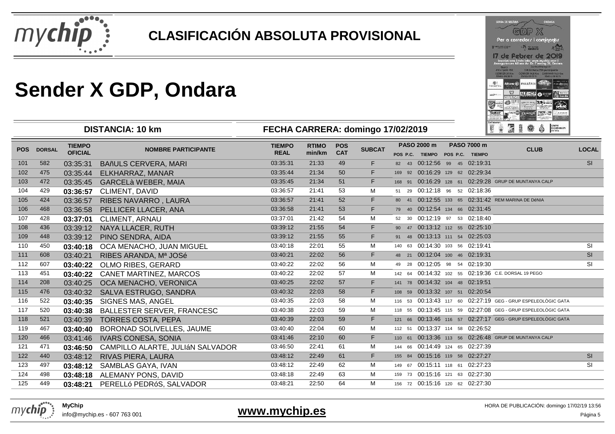

|                   |                                        | cop X                                                                                        |                                                              |                              |
|-------------------|----------------------------------------|----------------------------------------------------------------------------------------------|--------------------------------------------------------------|------------------------------|
|                   |                                        | Per a corredors i cominants                                                                  |                                                              |                              |
| has board in the  |                                        | ar airea                                                                                     |                                                              |                              |
|                   |                                        | 7 de Febrer de 20                                                                            |                                                              |                              |
|                   |                                        | inscripcions i més info: www.mychip.com i<br>Assegurances Allianz Av Dr. Fleming 36, Onclara |                                                              |                              |
|                   | <b>Guard</b><br><b>BELL-REAL INC.</b>  |                                                                                              | <b>Curra d'Incilpolésia</b><br>124 De Balla 730 participante |                              |
|                   | COBRETE 25 Rm<br><b>Chart and lots</b> | CORNER (4.5 Km CAWINAR 14.5 Km<br>Distribution (10) Williams                                 |                                                              | <b>STURITS DRIVER</b>        |
|                   |                                        |                                                                                              |                                                              |                              |
|                   |                                        |                                                                                              |                                                              |                              |
| <b>NONDRATION</b> |                                        | Allianz (ii) #4117414                                                                        | <b>MAINAGIA</b>                                              |                              |
|                   |                                        | <b>E.HOP</b>                                                                                 | ۰.                                                           |                              |
|                   | <b>STADSED</b>                         |                                                                                              |                                                              | P. Milled Street Ha<br>سنعام |
| œ                 |                                        | <b>WANTS IN</b>                                                                              |                                                              |                              |
| <b>TECHAT</b>     | <b>COLOR FOREIGN</b><br><b>JELA</b>    |                                                                                              |                                                              |                              |

| <b>DISTANCIA: 10 km</b> |                  |                                 |                                        | FECHA CARRERA: domingo 17/02/2019 |                        |                          |               |             |                                                | II QEBO Ô RE                                                 |              |
|-------------------------|------------------|---------------------------------|----------------------------------------|-----------------------------------|------------------------|--------------------------|---------------|-------------|------------------------------------------------|--------------------------------------------------------------|--------------|
| <b>POS</b>              | <b>DORSAL</b>    | <b>TIEMPO</b><br><b>OFICIAL</b> | <b>NOMBRE PARTICIPANTE</b>             | <b>TIEMPO</b><br><b>REAL</b>      | <b>RTIMO</b><br>min/km | <b>POS</b><br><b>CAT</b> | <b>SUBCAT</b> | PASO 2000 m | PASO 7000 m<br>POS P.C. TIEMPO POS P.C. TIEMPO | <b>CLUB</b>                                                  | <b>LOCAL</b> |
| 101                     | 582              | 03:35:31                        | <b>BAñULS CERVERA, MARI</b>            | 03:35:31                          | 21:33                  | 49                       | F.            |             | 82 43 00:12:56 99 45 02:19:31                  |                                                              | <b>SI</b>    |
| 102                     | 475              | 03:35:44                        | ELKHARRAZ, MANAR                       | 03:35:44                          | 21:34                  | 50                       | F.            |             | 169 92 00:16:29 129 62 02:29:34                |                                                              |              |
| 103                     | 472              | 03:35:45                        | <b>GARCELà WEBER, MAIA</b>             | 03:35:45                          | 21:34                  | 51                       | F.            |             |                                                | 168 91 00:16:29 128 61 02:29:28 GRUP DE MUNTANYA CALP        |              |
| 104                     | 429              | 03:36:57                        | CLIMENT, DAVID                         | 03:36:57                          | 21:41                  | 53                       | М             |             | 51 29 00:12:18 96 52 02:18:36                  |                                                              |              |
| 105                     | 424              | 03:36:57                        | RIBES NAVARRO, LAURA                   | 03:36:57                          | 21:41                  | 52                       | F.            |             |                                                | 80 41 00:12:55 133 65 02:31:42 REM MARINA DE DéNIA           |              |
| 106                     | 468              | 03:36:58                        | PELLICER LLACER, ANA                   | 03:36:58                          | 21:41                  | 53                       | F.            |             | 79 40 00:12:54 134 66 02:31:45                 |                                                              |              |
| 107                     | 428              | 03:37:01                        | <b>CLIMENT, ARNAU</b>                  | 03:37:01                          | 21:42                  | 54                       | м             |             | 52 30 00:12:19 97 53 02:18:40                  |                                                              |              |
| 108                     | 436              | 03:39:12                        | NAYA LLACER, RUTH                      | 03:39:12                          | 21:55                  | 54                       | F.            |             | 90 47 00:13:12 112 55 02:25:10                 |                                                              |              |
| 109                     | 448              | 03:39:12                        | PINO SENDRA, AIDA                      | 03:39:12                          | 21:55                  | 55                       | F.            |             | 91 48 00:13:13 111 54 02:25:03                 |                                                              |              |
| 110                     | 450              | 03:40:18                        | OCA MENACHO, JUAN MIGUEL               | 03:40:18                          | 22:01                  | 55                       | М             |             | 140 63 00:14:30 103 56 02:19:41                |                                                              | <b>SI</b>    |
| 111                     | 608              | 03:40:21                        | RIBES ARANDA, Mª JOSé                  | 03:40:21                          | 22:02                  | 56                       | F.            |             | 48 21 00:12:04 100 46 02:19:31                 |                                                              | SI           |
| 112                     | 607              | 03:40:22                        | OLMO RIBES, GERARD                     | 03:40:22                          | 22:02                  | 56                       | м             |             | 49 28 00:12:05 98 54 02:19:30                  |                                                              | <b>SI</b>    |
| 113                     | 451              | 03:40:22                        | CANET MARTINEZ, MARCOS                 | 03:40:22                          | 22:02                  | 57                       | м             |             |                                                | 142 64 00:14:32 102 55 02:19:36 C.E. DORSAL 19 PEGO          |              |
| 114                     | 208              | 03:40:25                        | OCA MENACHO, VERONICA                  | 03:40:25                          | 22:02                  | 57                       | F.            |             | 141 78 00:14:32 104 48 02:19:51                |                                                              |              |
| 115                     | 476              | 03:40:32                        | SALVA ESTRUGO, SANDRA                  | 03:40:32                          | 22:03                  | 58                       | F.            |             | 108 59 00:13:32 107 51 02:20:54                |                                                              |              |
| 116                     | 522              | 03:40:35                        | SIGNES MAS, ANGEL                      | 03:40:35                          | 22:03                  | 58                       | М             |             |                                                | 116 53 00:13:43 117 60 02:27:19 GEG - GRUP ESPELEOLÒGIC GATA |              |
| 117                     | 520              | 03:40:38                        | <b>BALLESTER SERVER, FRANCESC</b>      | 03:40:38                          | 22:03                  | 59                       | м             |             |                                                | 118 55 00:13:45 115 59 02:27:08 GEG - GRUP ESPELEOLÒGIC GATA |              |
| 118                     | 521              | 03:40:39                        | <b>TORRES COSTA, PEPA</b>              | 03:40:39                          | 22:03                  | 59                       | F.            |             |                                                | 121 66 00:13:46 116 57 02:27:17 GEG - GRUP ESPELEOLÒGIC GATA |              |
| 119                     | 467              | 03:40:40                        | BORONAD SOLIVELLES, JAUME              | 03:40:40                          | 22:04                  | 60                       | М             |             | 112 51 00:13:37 114 58 02:26:52                |                                                              |              |
| 120                     | 466              | 03:41:46                        | <b>IVARS CONESA, SONIA</b>             | 03:41:46                          | 22:10                  | 60                       | F.            |             |                                                | 110 61 00:13:36 113 56 02:26:48 GRUP DE MUNTANYA CALP        |              |
| 121                     | 471              | 03:46:50                        | CAMPILLO ALARTE, JULIÁN SALVADOR       | 03:46:50                          | 22:41                  | 61                       | м             |             | 144 66 00:14:49 124 65 02:27:39                |                                                              |              |
| 122                     | 440              | 03:48:12                        | RIVAS PIERA, LAURA                     | 03:48:12                          | 22:49                  | 61                       | F.            |             | 155 84 00:15:16 119 58 02:27:27                |                                                              | SI           |
| 123                     | 497              | 03:48:12                        | SAMBLAS GAYA, IVAN                     | 03:48:12                          | 22:49                  | 62                       | M             |             | 149 67 00:15:11 118 61 02:27:23                |                                                              | <b>SI</b>    |
| 124                     | 498              | 03:48:18                        | ALEMANY PONS, DAVID                    | 03:48:18                          | 22:49                  | 63                       | М             |             | 159 73 00:15:16 121 63 02:27:30                |                                                              |              |
| $\sqrt{2}$              | $\overline{110}$ |                                 | $P = P - 1$ $P = P - 2Q - 211111 - 2Q$ | 00.40.04                          | 00.50                  | $\sim$ $\sim$            | $\mathbf{A}$  |             | $-2$ $-2$ 004540 $-2$ 000700                   |                                                              |              |

03:48:21 22:50 <sup>64</sup> <sup>M</sup> <sup>156</sup> <sup>72</sup> 00:15:16 <sup>120</sup> <sup>62</sup> 02:27:30



125

info@mychip.es - 607 763 001

<sup>449</sup> **03:48:21** PERELLó PEDRóS, SALVADOR

#### **www.mychip.es**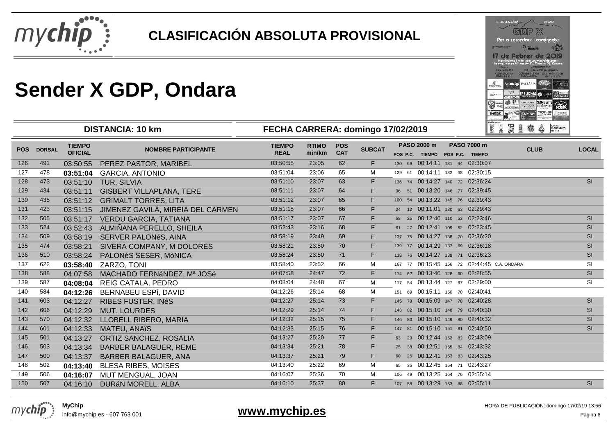

|                       |                                                               | D P X                                                                                       |                                                              |                      |
|-----------------------|---------------------------------------------------------------|---------------------------------------------------------------------------------------------|--------------------------------------------------------------|----------------------|
|                       |                                                               | Per a corredors i cominants                                                                 |                                                              |                      |
| <b>Network Island</b> |                                                               | ۸Ø<br><b>The advised</b><br>ondara                                                          |                                                              |                      |
|                       | <b>Guard</b>                                                  | inscripcions imés info: www.mychip.com i<br>Assegurances Allianz Av. Dr. Fieming 36, Ondara | <b>Custo directoria</b><br>124 method is 230 particularities |                      |
|                       | <b>BELIEVED THE</b><br>COBRER 26 Km<br><b>Chairs and lo h</b> | CORRENT MERGIN CAWINATE 14.5 Km<br>Eladaba del : 10 W.                                      | <b>STATISTIC DE DE A</b>                                     |                      |
| FAGUAY/FRIA.          | Altianz (6)                                                   | <b>FALLARIA</b>                                                                             | <b>ANGEL</b>                                                 | <b>Parket Street</b> |
| <b>ASSESSED</b>       | Arz Car                                                       |                                                                                             | 23 65508                                                     | سنعاء<br>Gainsin     |
| ᇄ                     | <b>FRID THERE</b>                                             |                                                                                             | <b>W 141</b>                                                 |                      |

|                 | <b>DISTANCIA: 10 km</b> |                                 |                                       | FECHA CARRERA: domingo 17/02/2019 |                        |                          |               |             |  |                                                       | FRIGS ?                                     | CONTRE<br>EDEURSKON EP.<br>INSTARA |
|-----------------|-------------------------|---------------------------------|---------------------------------------|-----------------------------------|------------------------|--------------------------|---------------|-------------|--|-------------------------------------------------------|---------------------------------------------|------------------------------------|
| <b>POS</b>      | <b>DORSAL</b>           | <b>TIEMPO</b><br><b>OFICIAL</b> | <b>NOMBRE PARTICIPANTE</b>            | <b>TIEMPO</b><br><b>REAL</b>      | <b>RTIMO</b><br>min/km | <b>POS</b><br><b>CAT</b> | <b>SUBCAT</b> | PASO 2000 m |  | <b>PASO 7000 m</b><br>POS P.C. TIEMPO POS P.C. TIEMPO | <b>CLUB</b>                                 | <b>LOCAL</b>                       |
| 126             | 491                     | 03:50:55                        | PEREZ PASTOR, MARIBEL                 | 03:50:55                          | 23:05                  | 62                       | F.            |             |  | 130 69 00:14:11 131 64 02:30:07                       |                                             |                                    |
| 127             | 478                     | 03:51:04                        | <b>GARCIA, ANTONIO</b>                | 03:51:04                          | 23:06                  | 65                       | М             |             |  | 129 61 00:14:11 132 68 02:30:15                       |                                             |                                    |
| 128             | 473                     | 03:51:10                        | TUR, SILVIA                           | 03:51:10                          | 23:07                  | 63                       | F.            |             |  | 136 74 00:14:27 140 72 02:36:24                       |                                             | <b>SI</b>                          |
| 129             | 434                     | 03:51:11                        | <b>GISBERT VILLAPLANA, TERE</b>       | 03:51:11                          | 23:07                  | 64                       | F.            |             |  | 96 51 00:13:20 146 77 02:39:45                        |                                             |                                    |
| 130             | 435                     | 03:51:12                        | <b>GRIMALT TORRES, LITA</b>           | 03:51:12                          | 23:07                  | 65                       | F.            |             |  | 100 54 00:13:22 145 76 02:39:43                       |                                             |                                    |
| 131             | 423                     | 03:51:15                        | JIMENEZ GAVILÁ, MIREIA DEL CARMEN     | 03:51:15                          | 23:07                  | 66                       | F.            |             |  | 24 12 00:11:01 130 63 02:29:43                        |                                             |                                    |
| 132             | 505                     | 03:51:17                        | <b>VERDU GARCIA, TATIANA</b>          | 03:51:17                          | 23:07                  | 67                       | F.            |             |  | 58 25 00:12:40 110 53 02:23:46                        |                                             | <b>SI</b>                          |
| 133             | 524                     | 03:52:43                        | ALMIÑANA PERELLO, SHEILA              | 03:52:43                          | 23:16                  | 68                       | F.            |             |  | 61 27 00:12:41 109 52 02:23:45                        |                                             | SI                                 |
| 134             | 509                     | 03:58:19                        | SERVER PALONéS, AINA                  | 03:58:19                          | 23:49                  | 69                       | F.            |             |  | 137 75 00:14:27 138 70 02:36:20                       |                                             | <b>SI</b>                          |
| 135             | 474                     | 03:58:21                        | SIVERA COMPANY, M DOLORES             | 03:58:21                          | 23:50                  | 70                       | F.            |             |  | 139 77 00:14:29 137 69 02:36:18                       |                                             | <b>SI</b>                          |
| 136             | 510                     | 03:58:24                        | PALONéS SESER, MÒNICA                 | 03:58:24                          | 23:50                  | 71                       | F.            |             |  | 138 76 00:14:27 139 71 02:36:23                       |                                             | <b>SI</b>                          |
| 137             | 622                     | 03:58:40                        | ZARZO, TONI                           | 03:58:40                          | 23:52                  | 66                       | М             |             |  |                                                       | 167 77 00:15:45 156 72 02:44:45 C.A. ONDARA | <b>SI</b>                          |
| 138             | 588                     | 04:07:58                        | MACHADO FERNÁNDEZ, Mª JOSé            | 04:07:58                          | 24:47                  | 72                       | F.            |             |  | 114 62 00:13:40 126 60 02:28:55                       |                                             | SI                                 |
| 139             | 587                     | 04:08:04                        | REIG CATALA, PEDRO                    | 04:08:04                          | 24:48                  | 67                       | М             |             |  | 117 54 00:13:44 127 67 02:29:00                       |                                             | <b>SI</b>                          |
| 140             | 584                     | 04:12:26                        | <b>BERNABEU ESPÍ, DAVID</b>           | 04:12:26                          | 25:14                  | 68                       | М             |             |  | 151 69 00:15:11 150 70 02:40:41                       |                                             |                                    |
| 141             | 603                     | 04:12:27                        | RIBES FUSTER, INéS                    | 04:12:27                          | 25:14                  | 73                       | F.            |             |  | 145 79 00:15:09 147 78 02:40:28                       |                                             | SI                                 |
| 142             | 606                     | 04:12:29                        | <b>MUT, LOURDES</b>                   | 04:12:29                          | 25:14                  | 74                       | F.            |             |  | 148 82 00:15:10 148 79 02:40:30                       |                                             | <b>SI</b>                          |
| 143             | 570                     | 04:12:32                        | LLOBELL RIBERO, MARIA                 | 04:12:32                          | 25:15                  | 75                       | F.            |             |  | 146 80 00:15:10 149 80 02:40:32                       |                                             | <b>SI</b>                          |
| 144             | 601                     | 04:12:33                        | <b>MATEU, ANAïS</b>                   | 04:12:33                          | 25:15                  | 76                       | F.            |             |  | 147 81 00:15:10 151 81 02:40:50                       |                                             | <b>SI</b>                          |
| 145             | 501                     | 04:13:27                        | ORTIZ SANCHEZ, ROSALIA                | 04:13:27                          | 25:20                  | 77                       | F.            |             |  | 63 29 00:12:44 152 82 02:43:09                        |                                             |                                    |
| 146             | 503                     | 04:13:34                        | <b>BARBER BALAGUER, REME</b>          | 04:13:34                          | 25:21                  | 78                       | F.            |             |  | 75 38 00:12:51 155 84 02:43:32                        |                                             |                                    |
| 147             | 500                     | 04:13:37                        | <b>BARBER BALAGUER, ANA</b>           | 04:13:37                          | 25:21                  | 79                       | F.            |             |  | 60 26 00:12:41 153 83 02:43:25                        |                                             |                                    |
| 148             | 502                     | 04:13:40                        | <b>BLESA RIBES, MOISES</b>            | 04:13:40                          | 25:22                  | 69                       | М             |             |  | 65 35 00:12:45 154 71 02:43:27                        |                                             |                                    |
| 149             | 506                     | 04:16:07                        | MUT MENGUAL, JOAN                     | 04:16:07                          | 25:36                  | 70                       | м             |             |  | 106 49 00:13:25 164 76 02:55:14                       |                                             |                                    |
| 10 <sup>2</sup> | $F \wedge T$            |                                 | $0.11010$ $0.1010111000011$ $0.10101$ | 0.4.40.40                         | 0 <sub>0</sub>         | $\sim$                   |               |             |  | $127 - 56$ 00:40:00 $122 - 56$ 00:55:44               |                                             | $\sim$                             |

04:16:10 25:37 <sup>80</sup> <sup>F</sup> <sup>107</sup> <sup>58</sup> 00:13:29 <sup>163</sup> <sup>88</sup> 02:55:11 SI



150

info@mychip.es - 607 763 001

<sup>507</sup> 04:16:10 DURáN MORELL, ALBA

#### **www.mychip.es**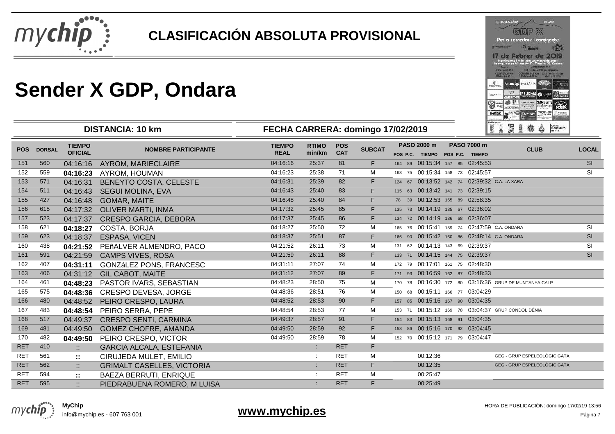

<sup>595</sup> :: PIEDRABUENA ROMERO, M LUISA

|                     |                                        | cop X                                                                                         |                                                             |                      |
|---------------------|----------------------------------------|-----------------------------------------------------------------------------------------------|-------------------------------------------------------------|----------------------|
|                     |                                        | Per a corredors i caminants                                                                   |                                                             |                      |
| have been also been |                                        | ondara                                                                                        |                                                             |                      |
|                     |                                        | 7 de Febrer de 20                                                                             |                                                             |                      |
|                     |                                        | inscripcions i més info: www.mychip.com i<br>Assegurances Allianz Av. Dr. Fleming 36, Onclass |                                                             |                      |
|                     | <b>Guard</b><br><b>STEPHANO THE</b>    |                                                                                               | <b>Curra d'Incilpalés</b><br>124 Dr Ibitiv 730 participants |                      |
|                     | COBRETE 25 Rm<br><b>Chart and lots</b> | CORNER (4.5 Km CAWINAR 14.5 Km<br><b>Eladata dolcito e </b>                                   |                                                             | <b>STATUS DRIVER</b> |
|                     |                                        |                                                                                               |                                                             |                      |
|                     |                                        |                                                                                               |                                                             |                      |
| <b>NONDRATION</b>   |                                        | Allianz (ii) #4117414                                                                         | <b>ARTHAMIA</b>                                             | P. Milled Street Ha  |
|                     |                                        | HOP                                                                                           |                                                             |                      |
|                     | <b>SEMIPSED</b>                        |                                                                                               |                                                             | سنعام                |
| œ                   |                                        | <b>DAVIS IN</b>                                                                               |                                                             |                      |
| <b>TECHAT</b>       | <b>COLOR FOREIGN</b><br><b>JELIA</b>   |                                                                                               |                                                             |                      |

| <b>DISTANCIA: 10 km</b> |               |                                 | FECHA CARRERA: domingo 17/02/2019 |                              |                        |                          |               |                                                |          | 18 南道音楽<br>$\ddot{\odot}$ $\begin{bmatrix} \text{conv} \\ \text{conv} \\ \text{conv} \end{bmatrix}$ |                                 |                                                       |              |
|-------------------------|---------------|---------------------------------|-----------------------------------|------------------------------|------------------------|--------------------------|---------------|------------------------------------------------|----------|-----------------------------------------------------------------------------------------------------|---------------------------------|-------------------------------------------------------|--------------|
| <b>POS</b>              | <b>DORSAL</b> | <b>TIEMPO</b><br><b>OFICIAL</b> | <b>NOMBRE PARTICIPANTE</b>        | <b>TIEMPO</b><br><b>REAL</b> | <b>RTIMO</b><br>min/km | <b>POS</b><br><b>CAT</b> | <b>SUBCAT</b> | PASO 2000 m<br>POS P.C. TIEMPO POS P.C. TIEMPO |          |                                                                                                     | <b>PASO 7000 m</b>              | <b>CLUB</b>                                           | <b>LOCAL</b> |
| 151                     | 560           | 04:16:16                        | AYROM, MARIECLAIRE                | 04:16:16                     | 25:37                  | 81                       | F.            |                                                |          |                                                                                                     | 164 89 00:15:34 157 85 02:45:53 |                                                       | <b>SI</b>    |
| 152                     | 559           | 04:16:23                        | AYROM, HOUMAN                     | 04:16:23                     | 25:38                  | 71                       | M             |                                                |          |                                                                                                     | 163 75 00:15:34 158 73 02:45:57 |                                                       | <b>SI</b>    |
| 153                     | 571           | 04:16:31                        | BENEYTO COSTA, CELESTE            | 04:16:31                     | 25:39                  | 82                       | F.            |                                                |          |                                                                                                     |                                 | 124 67 00:13:52 142 74 02:39:32 C.A. LA XARA          |              |
| 154                     | 511           | 04:16:43                        | <b>SEGUI MOLINA, EVA</b>          | 04:16:43                     | 25:40                  | 83                       | F.            |                                                |          |                                                                                                     | 115 63 00:13:42 141 73 02:39:15 |                                                       |              |
| 155                     | 427           | 04:16:48                        | <b>GOMAR, MAITE</b>               | 04:16:48                     | 25:40                  | 84                       | F.            |                                                |          |                                                                                                     | 78 39 00:12:53 165 89 02:58:35  |                                                       |              |
| 156                     | 615           | 04:17:32                        | OLIVER MARTÍ, INMA                | 04:17:32                     | 25:45                  | 85                       | F.            |                                                |          |                                                                                                     | 135 73 00:14:19 135 67 02:36:02 |                                                       |              |
| 157                     | 523           | 04:17:37                        | <b>CRESPO GARCIA, DEBORA</b>      | 04:17:37                     | 25:45                  | 86                       | F.            |                                                |          |                                                                                                     | 134 72 00:14:19 136 68 02:36:07 |                                                       |              |
| 158                     | 621           | 04:18:27                        | COSTA, BORJA                      | 04:18:27                     | 25:50                  | 72                       | м             |                                                |          |                                                                                                     |                                 | 165 76 00:15:41 159 74 02:47:59 C.A. ONDARA           | <b>SI</b>    |
| 159                     | 623           | 04:18:37                        | ESPASA, VICEN                     | 04:18:37                     | 25:51                  | 87                       | F.            |                                                |          |                                                                                                     |                                 | 166 90 00:15:42 160 86 02:48:14 C.A. ONDARA           | SI           |
| 160                     | 438           | 04:21:52                        | PEñALVER ALMENDRO, PACO           | 04:21:52                     | 26:11                  | 73                       | м             |                                                |          |                                                                                                     | 131 62 00:14:13 143 69 02:39:37 |                                                       | <b>SI</b>    |
| 161                     | 591           | 04:21:59                        | <b>CAMPS VIVES, ROSA</b>          | 04:21:59                     | 26:11                  | 88                       | F.            |                                                |          |                                                                                                     | 133 71 00:14:15 144 75 02:39:37 |                                                       | SI           |
| 162                     | 407           | 04:31:11                        | GONZáLEZ PONS, FRANCESC           | 04:31:11                     | 27:07                  | 74                       | м             |                                                |          |                                                                                                     | 172 79 00:17:01 161 75 02:48:30 |                                                       |              |
| 163                     | 406           | 04:31:12                        | <b>GIL CABOT, MAITE</b>           | 04:31:12                     | 27:07                  | 89                       | F.            |                                                |          |                                                                                                     | 171 93 00:16:59 162 87 02:48:33 |                                                       |              |
| 164                     | 461           | 04:48:23                        | PASTOR IVARS, SEBASTIAN           | 04:48:23                     | 28:50                  | 75                       | М             |                                                |          |                                                                                                     |                                 | 170 78 00:16:30 172 80 03:16:36 GRUP DE MUNTANYA CALP |              |
| 165                     | 575           | 04:48:36                        | <b>CRESPO DEVESA, JORGE</b>       | 04:48:36                     | 28:51                  | 76                       | м             |                                                |          |                                                                                                     | 150 68 00:15:11 166 77 03:04:29 |                                                       |              |
| 166                     | 480           | 04:48:52                        | PEIRO CRESPO, LAURA               | 04:48:52                     | 28:53                  | 90                       | F.            |                                                |          |                                                                                                     | 157 85 00:15:16 167 90 03:04:35 |                                                       |              |
| 167                     | 483           | 04:48:54                        | PEIRO SERRA, PEPE                 | 04:48:54                     | 28:53                  | 77                       | М             |                                                |          |                                                                                                     |                                 | 153 71 00:15:12 169 78 03:04:37 GRUP CONDOL DÉNIA     |              |
| 168                     | 517           | 04:49:37                        | CRESPO SENTÍ, CARMINA             | 04:49:37                     | 28:57                  | 91                       | F.            |                                                |          |                                                                                                     | 154 83 00:15:13 168 91 03:04:35 |                                                       |              |
| 169                     | 481           | 04:49:50                        | <b>GOMEZ CHOFRE, AMANDA</b>       | 04:49:50                     | 28:59                  | 92                       | F.            |                                                |          |                                                                                                     | 158 86 00:15:16 170 92 03:04:45 |                                                       |              |
| 170                     | 482           | 04:49:50                        | PEIRO CRESPO, VICTOR              | 04:49:50                     | 28:59                  | 78                       | М             |                                                |          |                                                                                                     | 152 70 00:15:12 171 79 03:04:47 |                                                       |              |
| <b>RET</b>              | 410           | $\mathbb{Z}^+$                  | <b>GARCIA ALCALA, ESTEFANIA</b>   |                              | $\mathbb{Z}^+$         | <b>RET</b>               | F.            |                                                |          |                                                                                                     |                                 |                                                       |              |
| <b>RET</b>              | 561           | π.                              | CIRUJEDA MULET, EMILIO            |                              |                        | <b>RET</b>               | м             |                                                | 00:12:36 |                                                                                                     |                                 | GEG - GRUP ESPELEOLÒGIC GATA                          |              |
| <b>RET</b>              | 562           | $\mathbb{Z}^+$                  | <b>GRIMALT CASELLES, VICTORIA</b> |                              | $\sim$                 | <b>RET</b>               | F.            |                                                | 00:12:35 |                                                                                                     |                                 | GEG - GRUP ESPELEOLÒGIC GATA                          |              |
| <b>RET</b>              | 594           | $\mathbb{R}^2$                  | <b>BAEZA BERRUTI, ENRIQUE</b>     |                              | ÷                      | <b>RET</b>               | М             |                                                | 00:25:47 |                                                                                                     |                                 |                                                       |              |
|                         |               |                                 |                                   |                              |                        |                          |               |                                                | $\cdots$ |                                                                                                     |                                 |                                                       |              |

: RET <sup>F</sup> 00:25:49



RET

**www.mychip.es**